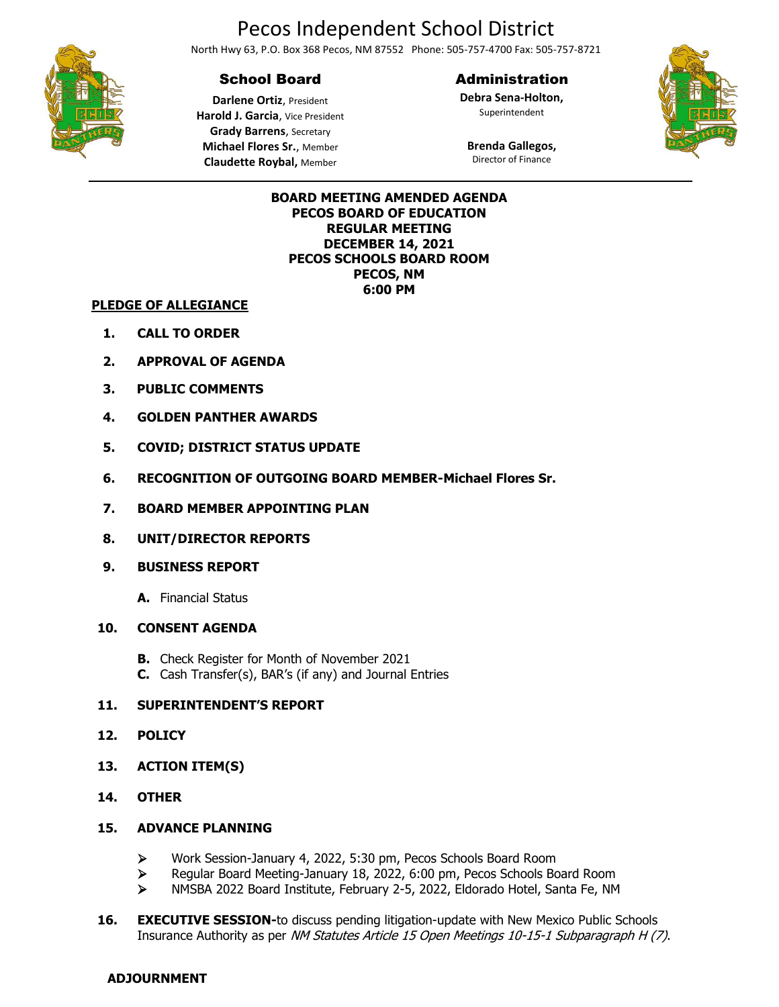# Pecos Independent School District

North Hwy 63, P.O. Box 368 Pecos, NM 87552 Phone: 505-757-4700 Fax: 505-757-8721

## School Board

#### Administration

**Debra Sena-Holton,** Superintendent



**Darlene Ortiz**, President **Harold J. Garcia**, Vice President **Grady Barrens**, Secretary **Michael Flores Sr.**, Member **Claudette Roybal,** Member

#### **Brenda Gallegos,** Director of Finance

#### **BOARD MEETING AMENDED AGENDA PECOS BOARD OF EDUCATION REGULAR MEETING DECEMBER 14, 2021 PECOS SCHOOLS BOARD ROOM PECOS, NM 6:00 PM**

#### **PLEDGE OF ALLEGIANCE**

- **1. CALL TO ORDER**
- **2. APPROVAL OF AGENDA**
- **3. PUBLIC COMMENTS**
- **4. GOLDEN PANTHER AWARDS**
- **5. COVID; DISTRICT STATUS UPDATE**
- **6. RECOGNITION OF OUTGOING BOARD MEMBER-Michael Flores Sr.**
- **7. BOARD MEMBER APPOINTING PLAN**
- **8. UNIT/DIRECTOR REPORTS**
- **9. BUSINESS REPORT**
	- **A.** Financial Status

#### **10. CONSENT AGENDA**

- **B.** Check Register for Month of November 2021
- **C.** Cash Transfer(s), BAR's (if any) and Journal Entries

### **11. SUPERINTENDENT'S REPORT**

- **12. POLICY**
- **13. ACTION ITEM(S)**
- **14. OTHER**

#### **15. ADVANCE PLANNING**

- ➢ Work Session-January 4, 2022, 5:30 pm, Pecos Schools Board Room
- ➢ Regular Board Meeting-January 18, 2022, 6:00 pm, Pecos Schools Board Room
- ➢ NMSBA 2022 Board Institute, February 2-5, 2022, Eldorado Hotel, Santa Fe, NM
- **16. EXECUTIVE SESSION-to discuss pending litigation-update with New Mexico Public Schools** Insurance Authority as per NM Statutes Article 15 Open Meetings 10-15-1 Subparagraph H (7).

#### **ADJOURNMENT**

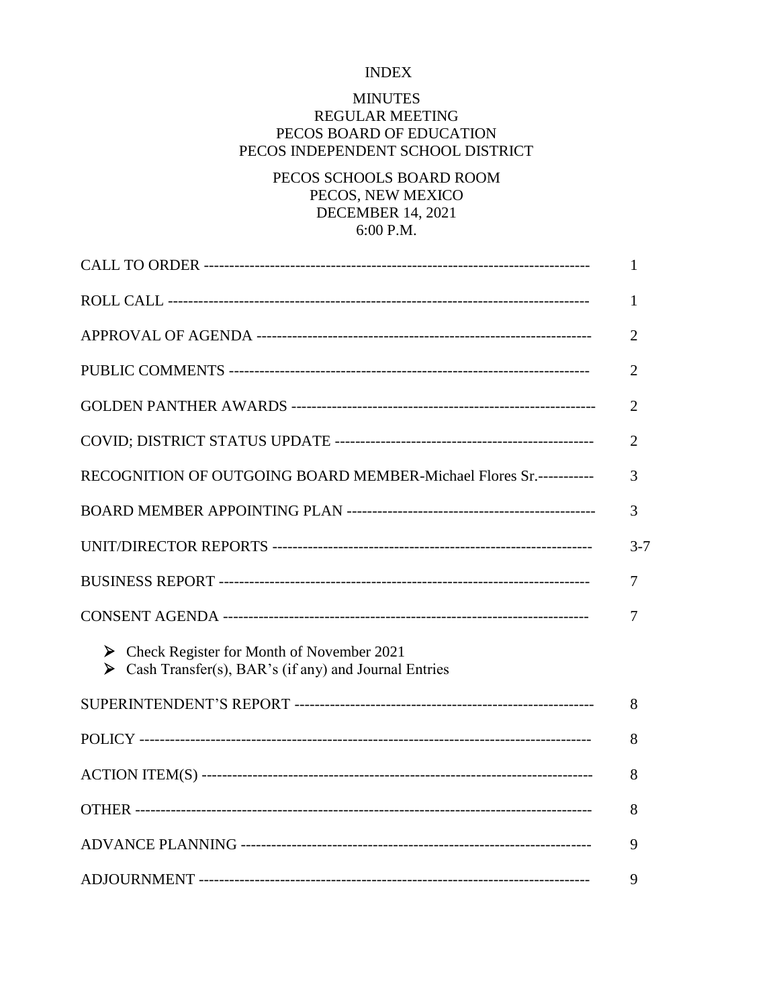## INDEX

## MINUTES

# REGULAR MEETING PECOS BOARD OF EDUCATION PECOS INDEPENDENT SCHOOL DISTRICT

# PECOS SCHOOLS BOARD ROOM PECOS, NEW MEXICO DECEMBER 14, 2021 6:00 P.M.

|                                                                                                                             | 1              |
|-----------------------------------------------------------------------------------------------------------------------------|----------------|
|                                                                                                                             | 1              |
|                                                                                                                             | 2              |
|                                                                                                                             | 2              |
|                                                                                                                             | $\overline{2}$ |
|                                                                                                                             | $\overline{2}$ |
| RECOGNITION OF OUTGOING BOARD MEMBER-Michael Flores Sr.-----------                                                          | 3              |
|                                                                                                                             | 3              |
|                                                                                                                             | $3 - 7$        |
|                                                                                                                             | 7              |
|                                                                                                                             | 7              |
| $\triangleright$ Check Register for Month of November 2021<br>Solution Cash Transfer(s), BAR's (if any) and Journal Entries |                |
|                                                                                                                             | 8              |
|                                                                                                                             | 8              |
|                                                                                                                             | 8              |
|                                                                                                                             | 8              |
|                                                                                                                             | 9              |
|                                                                                                                             | 9              |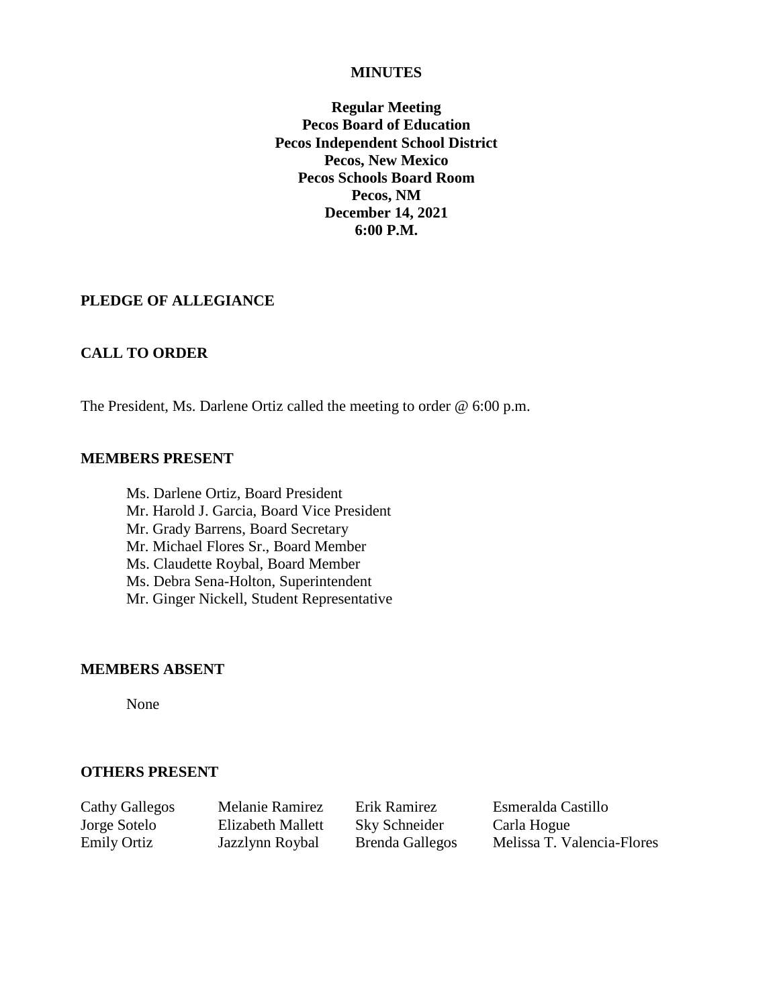#### **MINUTES**

**Regular Meeting Pecos Board of Education Pecos Independent School District Pecos, New Mexico Pecos Schools Board Room Pecos, NM December 14, 2021 6:00 P.M.**

### **PLEDGE OF ALLEGIANCE**

### **CALL TO ORDER**

The President, Ms. Darlene Ortiz called the meeting to order @ 6:00 p.m.

#### **MEMBERS PRESENT**

Ms. Darlene Ortiz, Board President Mr. Harold J. Garcia, Board Vice President Mr. Grady Barrens, Board Secretary Mr. Michael Flores Sr., Board Member Ms. Claudette Roybal, Board Member Ms. Debra Sena-Holton, Superintendent Mr. Ginger Nickell, Student Representative

#### **MEMBERS ABSENT**

None

### **OTHERS PRESENT**

Jorge Sotelo Elizabeth Mallett Sky Schneider Carla Hogue

Cathy Gallegos Melanie Ramirez Erik Ramirez Esmeralda Castillo Emily Ortiz Jazzlynn Roybal Brenda Gallegos Melissa T. Valencia-Flores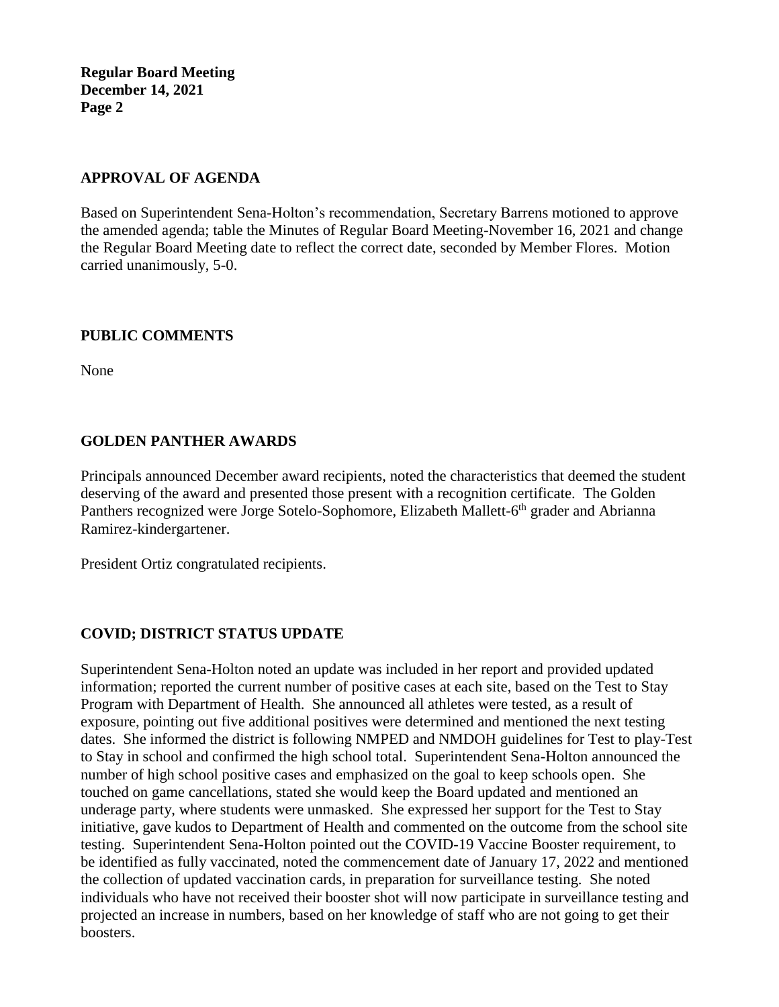# **APPROVAL OF AGENDA**

Based on Superintendent Sena-Holton's recommendation, Secretary Barrens motioned to approve the amended agenda; table the Minutes of Regular Board Meeting-November 16, 2021 and change the Regular Board Meeting date to reflect the correct date, seconded by Member Flores. Motion carried unanimously, 5-0.

# **PUBLIC COMMENTS**

None

# **GOLDEN PANTHER AWARDS**

Principals announced December award recipients, noted the characteristics that deemed the student deserving of the award and presented those present with a recognition certificate. The Golden Panthers recognized were Jorge Sotelo-Sophomore, Elizabeth Mallett-6<sup>th</sup> grader and Abrianna Ramirez-kindergartener.

President Ortiz congratulated recipients.

# **COVID; DISTRICT STATUS UPDATE**

Superintendent Sena-Holton noted an update was included in her report and provided updated information; reported the current number of positive cases at each site, based on the Test to Stay Program with Department of Health. She announced all athletes were tested, as a result of exposure, pointing out five additional positives were determined and mentioned the next testing dates. She informed the district is following NMPED and NMDOH guidelines for Test to play-Test to Stay in school and confirmed the high school total. Superintendent Sena-Holton announced the number of high school positive cases and emphasized on the goal to keep schools open. She touched on game cancellations, stated she would keep the Board updated and mentioned an underage party, where students were unmasked. She expressed her support for the Test to Stay initiative, gave kudos to Department of Health and commented on the outcome from the school site testing. Superintendent Sena-Holton pointed out the COVID-19 Vaccine Booster requirement, to be identified as fully vaccinated, noted the commencement date of January 17, 2022 and mentioned the collection of updated vaccination cards, in preparation for surveillance testing. She noted individuals who have not received their booster shot will now participate in surveillance testing and projected an increase in numbers, based on her knowledge of staff who are not going to get their boosters.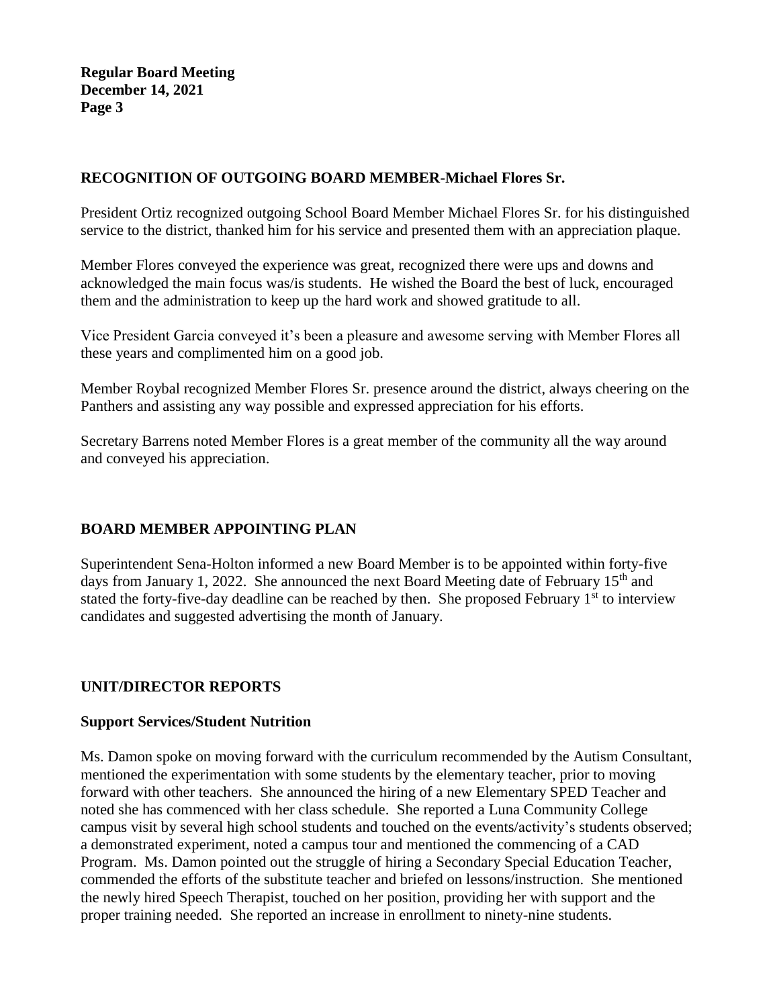# **RECOGNITION OF OUTGOING BOARD MEMBER-Michael Flores Sr.**

President Ortiz recognized outgoing School Board Member Michael Flores Sr. for his distinguished service to the district, thanked him for his service and presented them with an appreciation plaque.

Member Flores conveyed the experience was great, recognized there were ups and downs and acknowledged the main focus was/is students. He wished the Board the best of luck, encouraged them and the administration to keep up the hard work and showed gratitude to all.

Vice President Garcia conveyed it's been a pleasure and awesome serving with Member Flores all these years and complimented him on a good job.

Member Roybal recognized Member Flores Sr. presence around the district, always cheering on the Panthers and assisting any way possible and expressed appreciation for his efforts.

Secretary Barrens noted Member Flores is a great member of the community all the way around and conveyed his appreciation.

# **BOARD MEMBER APPOINTING PLAN**

Superintendent Sena-Holton informed a new Board Member is to be appointed within forty-five days from January 1, 2022. She announced the next Board Meeting date of February 15<sup>th</sup> and stated the forty-five-day deadline can be reached by then. She proposed February 1<sup>st</sup> to interview candidates and suggested advertising the month of January.

# **UNIT/DIRECTOR REPORTS**

### **Support Services/Student Nutrition**

Ms. Damon spoke on moving forward with the curriculum recommended by the Autism Consultant, mentioned the experimentation with some students by the elementary teacher, prior to moving forward with other teachers. She announced the hiring of a new Elementary SPED Teacher and noted she has commenced with her class schedule. She reported a Luna Community College campus visit by several high school students and touched on the events/activity's students observed; a demonstrated experiment, noted a campus tour and mentioned the commencing of a CAD Program. Ms. Damon pointed out the struggle of hiring a Secondary Special Education Teacher, commended the efforts of the substitute teacher and briefed on lessons/instruction. She mentioned the newly hired Speech Therapist, touched on her position, providing her with support and the proper training needed. She reported an increase in enrollment to ninety-nine students.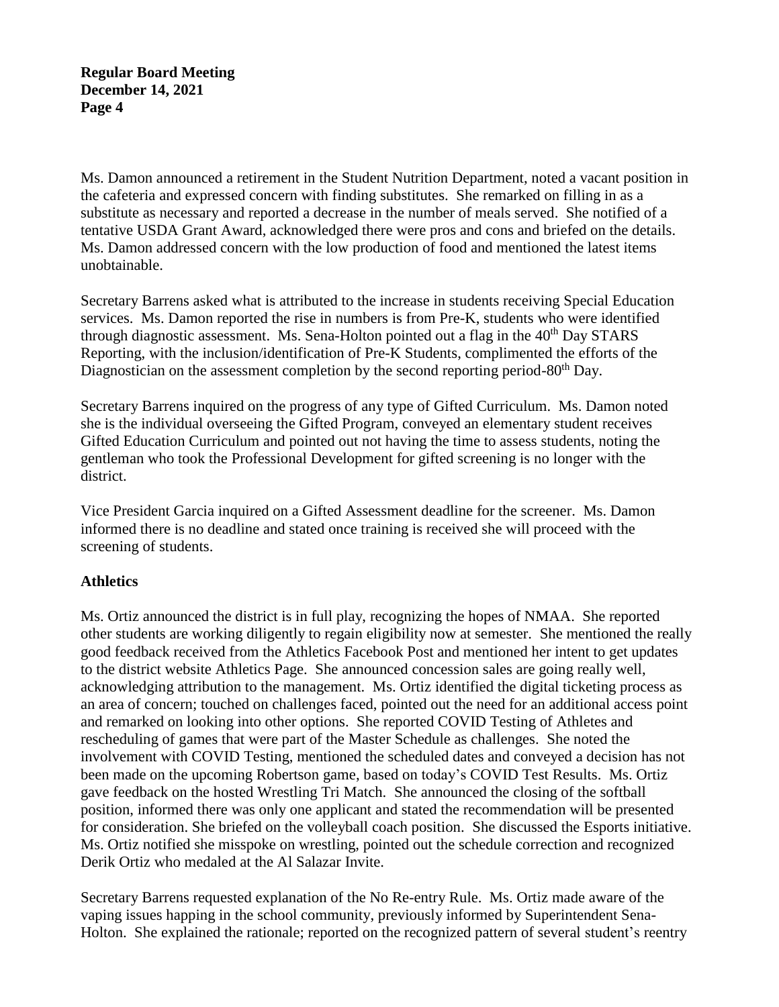Ms. Damon announced a retirement in the Student Nutrition Department, noted a vacant position in the cafeteria and expressed concern with finding substitutes. She remarked on filling in as a substitute as necessary and reported a decrease in the number of meals served. She notified of a tentative USDA Grant Award, acknowledged there were pros and cons and briefed on the details. Ms. Damon addressed concern with the low production of food and mentioned the latest items unobtainable.

Secretary Barrens asked what is attributed to the increase in students receiving Special Education services. Ms. Damon reported the rise in numbers is from Pre-K, students who were identified through diagnostic assessment. Ms. Sena-Holton pointed out a flag in the 40<sup>th</sup> Day STARS Reporting, with the inclusion/identification of Pre-K Students, complimented the efforts of the Diagnostician on the assessment completion by the second reporting period-80<sup>th</sup> Day.

Secretary Barrens inquired on the progress of any type of Gifted Curriculum. Ms. Damon noted she is the individual overseeing the Gifted Program, conveyed an elementary student receives Gifted Education Curriculum and pointed out not having the time to assess students, noting the gentleman who took the Professional Development for gifted screening is no longer with the district.

Vice President Garcia inquired on a Gifted Assessment deadline for the screener. Ms. Damon informed there is no deadline and stated once training is received she will proceed with the screening of students.

# **Athletics**

Ms. Ortiz announced the district is in full play, recognizing the hopes of NMAA. She reported other students are working diligently to regain eligibility now at semester. She mentioned the really good feedback received from the Athletics Facebook Post and mentioned her intent to get updates to the district website Athletics Page. She announced concession sales are going really well, acknowledging attribution to the management. Ms. Ortiz identified the digital ticketing process as an area of concern; touched on challenges faced, pointed out the need for an additional access point and remarked on looking into other options. She reported COVID Testing of Athletes and rescheduling of games that were part of the Master Schedule as challenges. She noted the involvement with COVID Testing, mentioned the scheduled dates and conveyed a decision has not been made on the upcoming Robertson game, based on today's COVID Test Results. Ms. Ortiz gave feedback on the hosted Wrestling Tri Match. She announced the closing of the softball position, informed there was only one applicant and stated the recommendation will be presented for consideration. She briefed on the volleyball coach position. She discussed the Esports initiative. Ms. Ortiz notified she misspoke on wrestling, pointed out the schedule correction and recognized Derik Ortiz who medaled at the Al Salazar Invite.

Secretary Barrens requested explanation of the No Re-entry Rule. Ms. Ortiz made aware of the vaping issues happing in the school community, previously informed by Superintendent Sena-Holton. She explained the rationale; reported on the recognized pattern of several student's reentry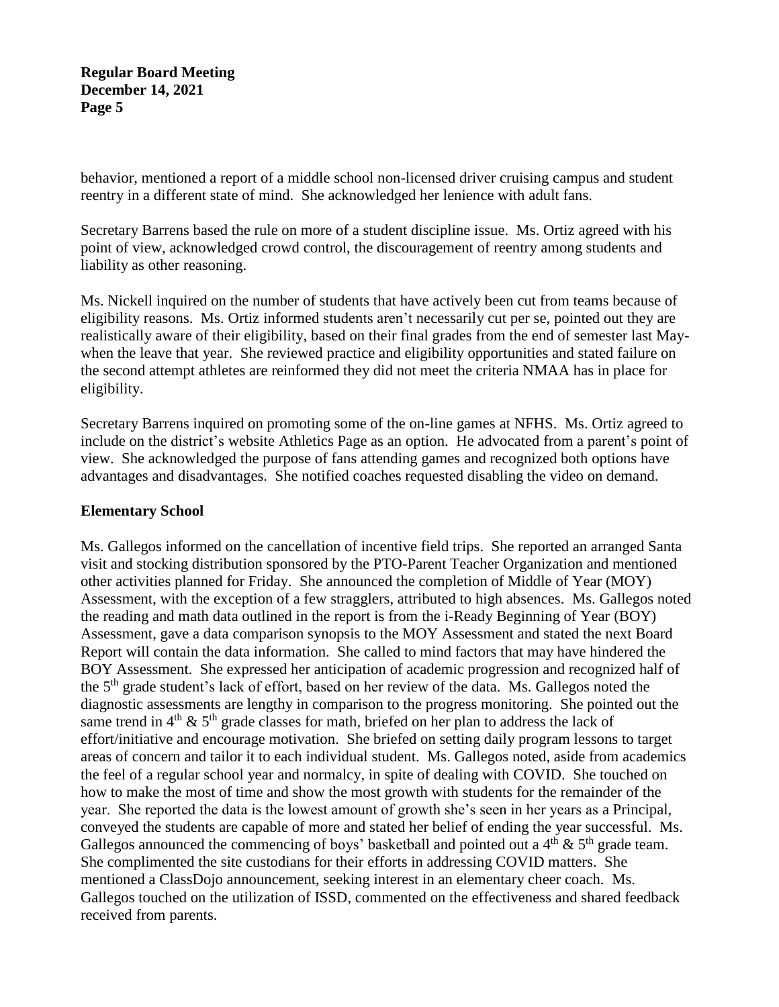behavior, mentioned a report of a middle school non-licensed driver cruising campus and student reentry in a different state of mind. She acknowledged her lenience with adult fans.

Secretary Barrens based the rule on more of a student discipline issue. Ms. Ortiz agreed with his point of view, acknowledged crowd control, the discouragement of reentry among students and liability as other reasoning.

Ms. Nickell inquired on the number of students that have actively been cut from teams because of eligibility reasons. Ms. Ortiz informed students aren't necessarily cut per se, pointed out they are realistically aware of their eligibility, based on their final grades from the end of semester last Maywhen the leave that year. She reviewed practice and eligibility opportunities and stated failure on the second attempt athletes are reinformed they did not meet the criteria NMAA has in place for eligibility.

Secretary Barrens inquired on promoting some of the on-line games at NFHS. Ms. Ortiz agreed to include on the district's website Athletics Page as an option. He advocated from a parent's point of view. She acknowledged the purpose of fans attending games and recognized both options have advantages and disadvantages. She notified coaches requested disabling the video on demand.

### **Elementary School**

Ms. Gallegos informed on the cancellation of incentive field trips. She reported an arranged Santa visit and stocking distribution sponsored by the PTO-Parent Teacher Organization and mentioned other activities planned for Friday. She announced the completion of Middle of Year (MOY) Assessment, with the exception of a few stragglers, attributed to high absences. Ms. Gallegos noted the reading and math data outlined in the report is from the i-Ready Beginning of Year (BOY) Assessment, gave a data comparison synopsis to the MOY Assessment and stated the next Board Report will contain the data information. She called to mind factors that may have hindered the BOY Assessment. She expressed her anticipation of academic progression and recognized half of the 5<sup>th</sup> grade student's lack of effort, based on her review of the data. Ms. Gallegos noted the diagnostic assessments are lengthy in comparison to the progress monitoring. She pointed out the same trend in  $4<sup>th</sup>$  &  $5<sup>th</sup>$  grade classes for math, briefed on her plan to address the lack of effort/initiative and encourage motivation. She briefed on setting daily program lessons to target areas of concern and tailor it to each individual student. Ms. Gallegos noted, aside from academics the feel of a regular school year and normalcy, in spite of dealing with COVID. She touched on how to make the most of time and show the most growth with students for the remainder of the year. She reported the data is the lowest amount of growth she's seen in her years as a Principal, conveyed the students are capable of more and stated her belief of ending the year successful. Ms. Gallegos announced the commencing of boys' basketball and pointed out a  $4<sup>th</sup> \& 5<sup>th</sup>$  grade team. She complimented the site custodians for their efforts in addressing COVID matters. She mentioned a ClassDojo announcement, seeking interest in an elementary cheer coach. Ms. Gallegos touched on the utilization of ISSD, commented on the effectiveness and shared feedback received from parents.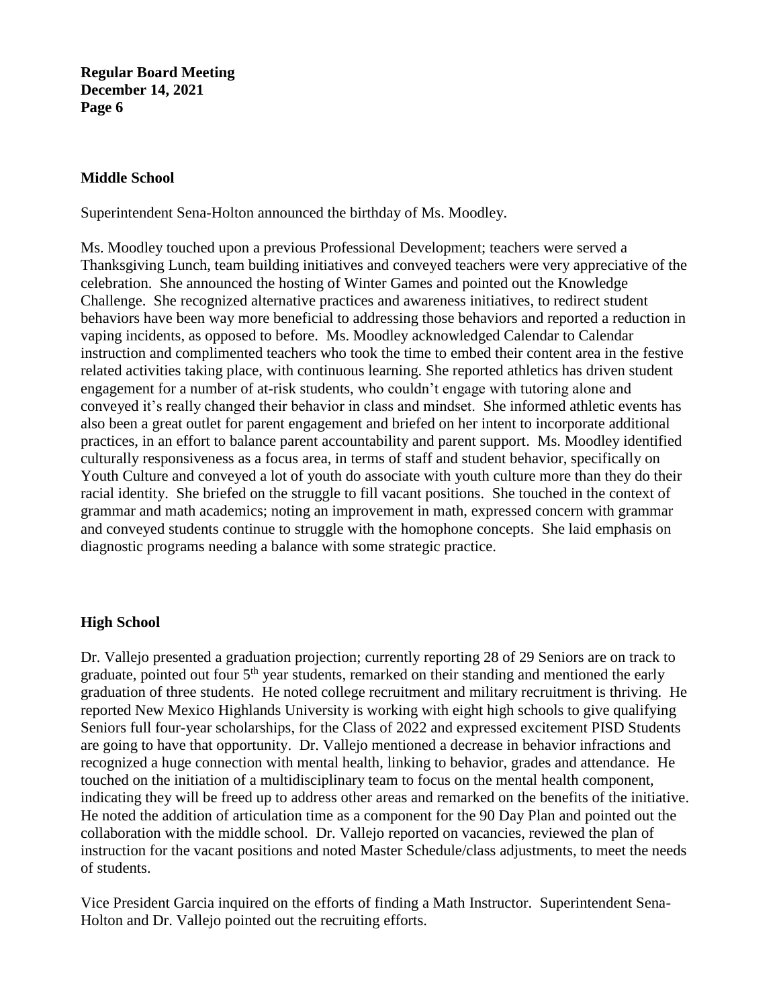### **Middle School**

Superintendent Sena-Holton announced the birthday of Ms. Moodley.

Ms. Moodley touched upon a previous Professional Development; teachers were served a Thanksgiving Lunch, team building initiatives and conveyed teachers were very appreciative of the celebration. She announced the hosting of Winter Games and pointed out the Knowledge Challenge. She recognized alternative practices and awareness initiatives, to redirect student behaviors have been way more beneficial to addressing those behaviors and reported a reduction in vaping incidents, as opposed to before. Ms. Moodley acknowledged Calendar to Calendar instruction and complimented teachers who took the time to embed their content area in the festive related activities taking place, with continuous learning. She reported athletics has driven student engagement for a number of at-risk students, who couldn't engage with tutoring alone and conveyed it's really changed their behavior in class and mindset. She informed athletic events has also been a great outlet for parent engagement and briefed on her intent to incorporate additional practices, in an effort to balance parent accountability and parent support. Ms. Moodley identified culturally responsiveness as a focus area, in terms of staff and student behavior, specifically on Youth Culture and conveyed a lot of youth do associate with youth culture more than they do their racial identity. She briefed on the struggle to fill vacant positions. She touched in the context of grammar and math academics; noting an improvement in math, expressed concern with grammar and conveyed students continue to struggle with the homophone concepts. She laid emphasis on diagnostic programs needing a balance with some strategic practice.

# **High School**

Dr. Vallejo presented a graduation projection; currently reporting 28 of 29 Seniors are on track to graduate, pointed out four 5<sup>th</sup> year students, remarked on their standing and mentioned the early graduation of three students. He noted college recruitment and military recruitment is thriving. He reported New Mexico Highlands University is working with eight high schools to give qualifying Seniors full four-year scholarships, for the Class of 2022 and expressed excitement PISD Students are going to have that opportunity. Dr. Vallejo mentioned a decrease in behavior infractions and recognized a huge connection with mental health, linking to behavior, grades and attendance. He touched on the initiation of a multidisciplinary team to focus on the mental health component, indicating they will be freed up to address other areas and remarked on the benefits of the initiative. He noted the addition of articulation time as a component for the 90 Day Plan and pointed out the collaboration with the middle school. Dr. Vallejo reported on vacancies, reviewed the plan of instruction for the vacant positions and noted Master Schedule/class adjustments, to meet the needs of students.

Vice President Garcia inquired on the efforts of finding a Math Instructor. Superintendent Sena-Holton and Dr. Vallejo pointed out the recruiting efforts.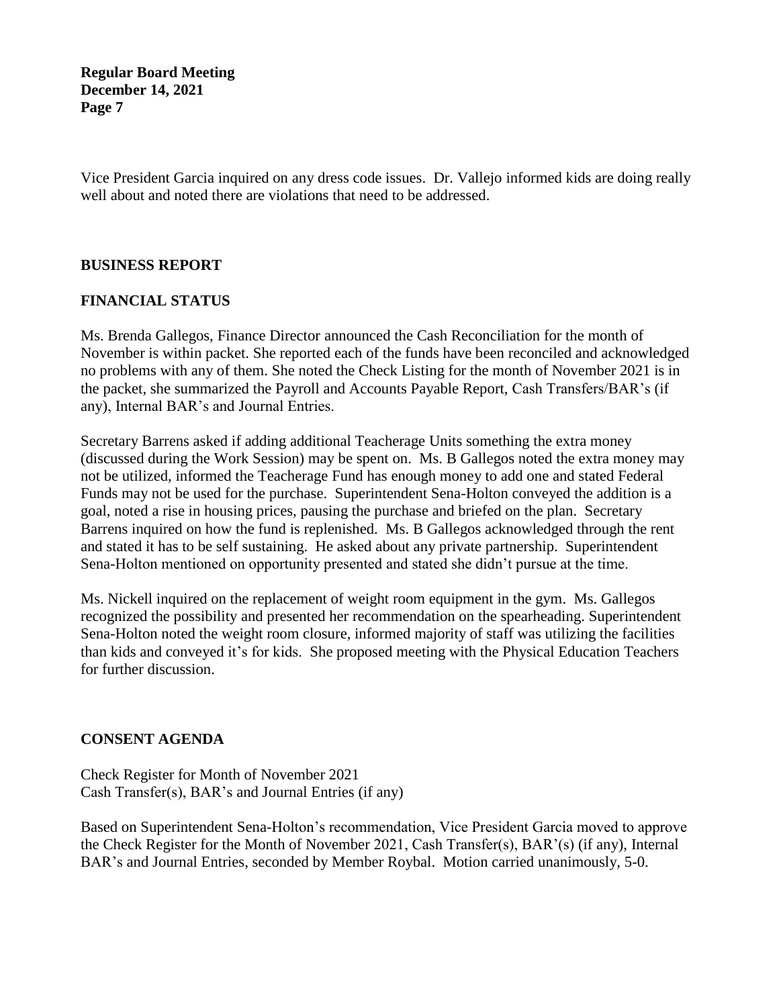Vice President Garcia inquired on any dress code issues. Dr. Vallejo informed kids are doing really well about and noted there are violations that need to be addressed.

### **BUSINESS REPORT**

## **FINANCIAL STATUS**

Ms. Brenda Gallegos, Finance Director announced the Cash Reconciliation for the month of November is within packet. She reported each of the funds have been reconciled and acknowledged no problems with any of them. She noted the Check Listing for the month of November 2021 is in the packet, she summarized the Payroll and Accounts Payable Report, Cash Transfers/BAR's (if any), Internal BAR's and Journal Entries.

Secretary Barrens asked if adding additional Teacherage Units something the extra money (discussed during the Work Session) may be spent on. Ms. B Gallegos noted the extra money may not be utilized, informed the Teacherage Fund has enough money to add one and stated Federal Funds may not be used for the purchase. Superintendent Sena-Holton conveyed the addition is a goal, noted a rise in housing prices, pausing the purchase and briefed on the plan. Secretary Barrens inquired on how the fund is replenished. Ms. B Gallegos acknowledged through the rent and stated it has to be self sustaining. He asked about any private partnership. Superintendent Sena-Holton mentioned on opportunity presented and stated she didn't pursue at the time.

Ms. Nickell inquired on the replacement of weight room equipment in the gym. Ms. Gallegos recognized the possibility and presented her recommendation on the spearheading. Superintendent Sena-Holton noted the weight room closure, informed majority of staff was utilizing the facilities than kids and conveyed it's for kids. She proposed meeting with the Physical Education Teachers for further discussion.

### **CONSENT AGENDA**

Check Register for Month of November 2021 Cash Transfer(s), BAR's and Journal Entries (if any)

Based on Superintendent Sena-Holton's recommendation, Vice President Garcia moved to approve the Check Register for the Month of November 2021, Cash Transfer(s), BAR'(s) (if any), Internal BAR's and Journal Entries, seconded by Member Roybal. Motion carried unanimously, 5-0.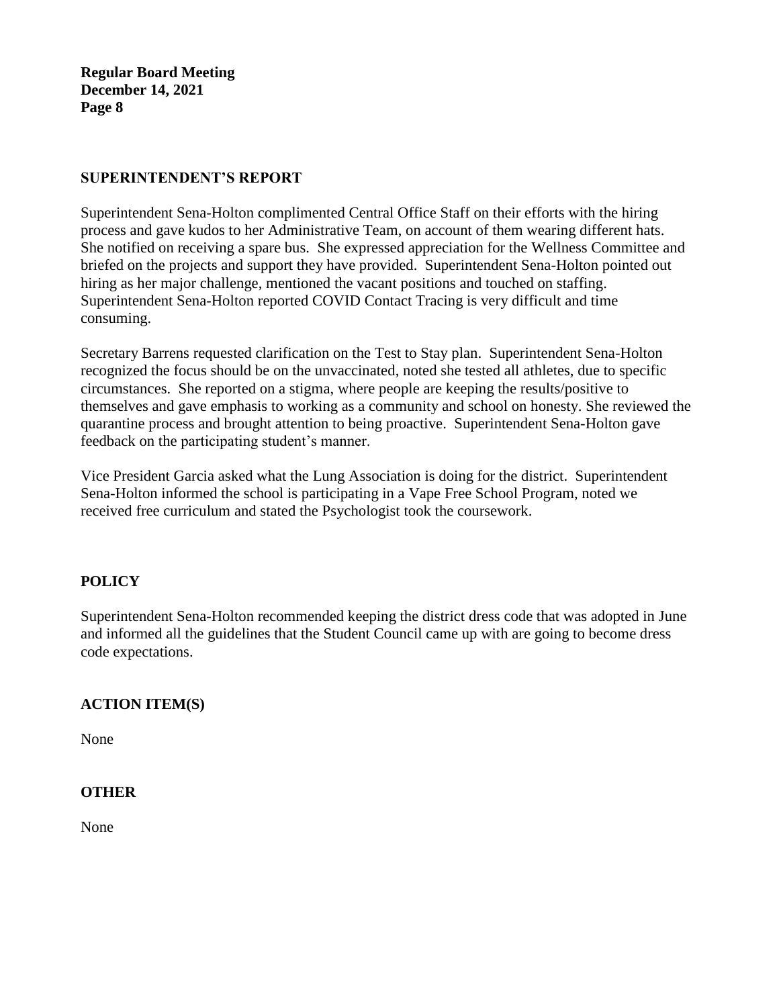# **SUPERINTENDENT'S REPORT**

Superintendent Sena-Holton complimented Central Office Staff on their efforts with the hiring process and gave kudos to her Administrative Team, on account of them wearing different hats. She notified on receiving a spare bus. She expressed appreciation for the Wellness Committee and briefed on the projects and support they have provided. Superintendent Sena-Holton pointed out hiring as her major challenge, mentioned the vacant positions and touched on staffing. Superintendent Sena-Holton reported COVID Contact Tracing is very difficult and time consuming.

Secretary Barrens requested clarification on the Test to Stay plan. Superintendent Sena-Holton recognized the focus should be on the unvaccinated, noted she tested all athletes, due to specific circumstances. She reported on a stigma, where people are keeping the results/positive to themselves and gave emphasis to working as a community and school on honesty. She reviewed the quarantine process and brought attention to being proactive. Superintendent Sena-Holton gave feedback on the participating student's manner.

Vice President Garcia asked what the Lung Association is doing for the district. Superintendent Sena-Holton informed the school is participating in a Vape Free School Program, noted we received free curriculum and stated the Psychologist took the coursework.

# **POLICY**

Superintendent Sena-Holton recommended keeping the district dress code that was adopted in June and informed all the guidelines that the Student Council came up with are going to become dress code expectations.

# **ACTION ITEM(S)**

None

# **OTHER**

None